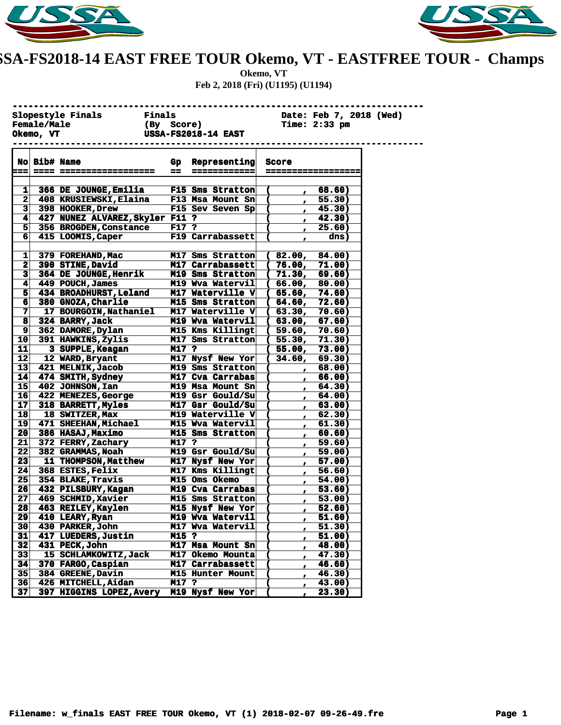



## **USSA-FS2018-14 EAST FREE TOUR Okemo, VT - EASTFREE TOUR - Champs**

**Okemo, VT Feb 2, 2018 (Fri) (U1195) (U1194)**

|                    |              | Slopestyle Finals Finals        |            |                                           |                      |               | Date: Feb 7, 2018 (Wed) |  |
|--------------------|--------------|---------------------------------|------------|-------------------------------------------|----------------------|---------------|-------------------------|--|
| <b>Female/Male</b> |              |                                 | (By Score) |                                           |                      | Time: 2:33 pm |                         |  |
|                    | Okemo, VT    |                                 |            | <b>USSA-FS2018-14 EAST</b>                |                      |               |                         |  |
|                    |              |                                 |            |                                           |                      |               |                         |  |
|                    |              |                                 |            |                                           |                      |               |                         |  |
|                    | No Bib# Name |                                 |            | Gp Representing                           | Score                |               |                         |  |
|                    |              |                                 | $=$ $=$    | ----------                                |                      |               |                         |  |
|                    |              |                                 |            |                                           |                      |               |                         |  |
| 1                  |              | 366 DE JOUNGE, Emilia           |            | F15 Sms Stratton                          | $\mathbf \Gamma$     |               | 68.60)                  |  |
| 2                  |              | 408 KRUSIEWSKI, Elaina          |            | <b>F13 Msa Mount Sn<math>\vert</math></b> | €                    | $\mathbf{r}$  | 55.30)                  |  |
| з                  |              | 398 HOOKER, Drew                |            | F15 Sev Seven Sp                          | C                    | $\mathbf{r}$  | 45.30)                  |  |
| 4                  |              | 427 NUNEZ ALVAREZ, Skyler F11 ? |            |                                           | C                    | $\mathbf{r}$  | 42.30)                  |  |
| 5                  |              | 356 BROGDEN, Constance          | F17 ?      |                                           |                      | ,             | 25.60)                  |  |
| 6                  |              | 415 LOOMIS, Caper               |            | F19 Carrabassett                          |                      | r             | dns)                    |  |
|                    |              |                                 |            |                                           |                      |               |                         |  |
| 1                  |              | 379 FOREHAND, Mac               |            | M17 Sms Stratton                          | (82.00,              |               | 84.00)                  |  |
| 2                  |              | 390 STINE, David                |            | M17 Carrabassett                          | (76.00,              |               | 71.00)                  |  |
| 3                  |              | 364 DE JOUNGE, Henrik           |            | M19 Sms Stratton                          | (71.30,              |               | 69.60)                  |  |
| 4                  |              | 449 POUCH, James                |            | M19 Wva Watervil                          | (66.00,              |               | 80.00)                  |  |
| 5                  |              | 434 BROADHURST, Leland          |            | M17 Waterville V                          | (65.60,              |               | 74.60)                  |  |
| 6                  |              | 380 GNOZA, Charlie              |            | M15 Sms Stratton                          | (64.60,              |               | 72.60)                  |  |
| 7                  |              | 17 BOURGOIN, Nathaniel          |            | M17 Waterville V                          | (63.30,              |               | 70.60)                  |  |
| 8                  |              | 324 BARRY, Jack                 |            | M19 Wya Watervil                          | (63.00,              |               | 67.60)                  |  |
| 9                  |              | 362 DAMORE, Dylan               |            | M15 Kms Killingt                          | (59.60,              |               | 70.60)                  |  |
| 10                 |              | 391 HAWKINS, Zylis              |            | M17 Sms Stratton                          | (55.30,              |               | 71.30)                  |  |
| 11                 |              | 3 SUPPLE, Keagan                | $M17$ ?    |                                           | (55.00,              |               | 73.00)                  |  |
| 12                 |              | 12 WARD, Bryant                 |            | M17 Nysf New Yor                          | 34.60,<br>$\sqrt{2}$ |               | 69.30)                  |  |
| 13                 |              | 421 MELNIK, Jacob               |            | M19 Sms Stratton                          | C                    | $\mathbf{r}$  | 68.00)                  |  |
| 14                 |              | 474 SMITH, Sydney               |            | M17 Cva Carrabas                          | C                    | $\mathbf{r}$  | 66.00)                  |  |
| 15                 |              | 402 JOHNSON, Ian                |            | M19 Msa Mount Sn                          |                      | $\mathbf{r}$  | 64.30)                  |  |
| 16                 |              | 422 MENEZES, George             |            | M19 Gsr Gould/Su                          |                      | $\mathbf{r}$  | 64.00)                  |  |
| 17                 |              | 318 BARRETT, Myles              |            | M17 Gsr Gould/Su                          | C                    | $\mathbf{r}$  | 63.00)                  |  |
| 18                 |              | 18 SWITZER, Max                 |            | M19 Waterville V                          | C                    | ,             | 62.30)                  |  |
| 19                 |              | 471 SHEEHAN, Michael            |            | M15 Wva Watervil                          |                      | $\mathbf{r}$  | 61.30)                  |  |
| 20                 |              | 386 HASAJ, Maximo               |            | M15 Sms Stratton                          |                      | $\mathbf{r}$  | 60.60)                  |  |
| 21                 |              | 372 FERRY, Zachary              | M17 ?      |                                           |                      | ,             | 59.60)                  |  |
| 22                 |              | 382 GRAMMAS, Noah               |            | M19 Gsr Gould/Su                          |                      | $\mathbf{r}$  | 59.00)                  |  |
| 23                 |              | 11 THOMPSON, Matthew            |            | M17 Nysf New Yor                          |                      | $\mathbf{r}$  | 57.00)                  |  |
| 24                 |              | 368 ESTES, Felix                |            | M17 Kms Killingt                          | C                    | $\mathbf{r}$  | 56.60)                  |  |
| 25                 |              | 354 BLAKE, Travis               |            | M15 Oms Okemo                             |                      | ,             | 54.00)                  |  |
| 26                 |              | 432 PILSBURY, Kagan             |            | M19 Cva Carrabas                          |                      | $\mathbf{r}$  | 53.60)                  |  |
| 27                 |              | 469 SCHMID, Xavier              |            | M15 Sms Stratton                          | C                    | $\mathbf{r}$  | 53.00)                  |  |
| 28                 |              | 463 REILEY, Kaylen              |            | M15 Nysf New Yor                          | C                    | r             | 52.60)                  |  |
| 29                 |              | 410 LEARY, Ryan                 |            | M19 Wva Watervil                          |                      | ,             | 51.60)                  |  |
| 30                 |              | 430 PARKER, John                |            | M17 Wva Watervil                          |                      | ,             | 51.30)                  |  |
| 31                 |              | 417 LUEDERS, Justin             | M15 ?      |                                           |                      | ,             | 51.00)                  |  |
| 32                 |              | 431 PECK, John                  |            | M17 Msa Mount Sn                          |                      | ,             | 48.00)                  |  |
| 33                 |              | 15 SCHLAMKOWITZ, Jack           |            | M17 Okemo Mounta                          |                      | ,             | 47.30)                  |  |
| 34                 |              | 370 FARGO, Caspian              |            | M17 Carrabassett                          |                      | ,             | 46.60)                  |  |
| 35                 |              | 384 GREENE, Davin               |            | M15 Hunter Mount                          |                      |               | 46.30)                  |  |
| 36                 |              | 426 MITCHELL, Aidan             | M17 ?      |                                           |                      | ,             | 43.00)                  |  |
| 37                 |              | 397 HIGGINS LOPEZ, Avery        |            | M19 Nysf New Yor                          |                      |               | 23.30)                  |  |